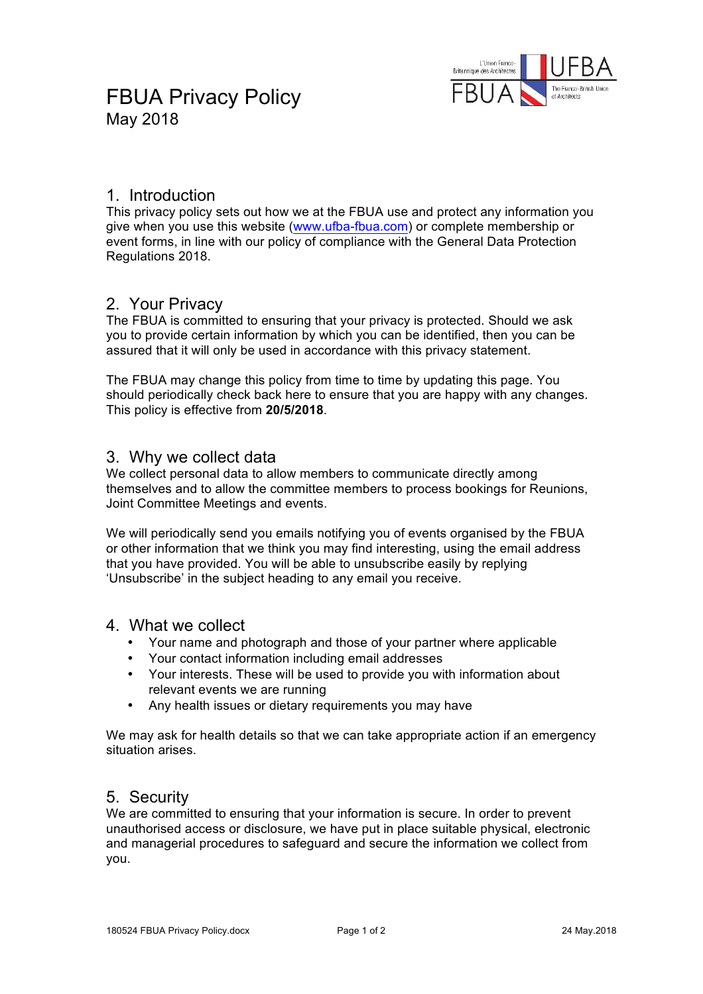

## 1. Introduction

This privacy policy sets out how we at the FBUA use and protect any information you give when you use this website (www.ufba-fbua.com) or complete membership or event forms, in line with our policy of compliance with the General Data Protection Regulations 2018.

## 2. Your Privacy

The FBUA is committed to ensuring that your privacy is protected. Should we ask you to provide certain information by which you can be identified, then you can be assured that it will only be used in accordance with this privacy statement.

The FBUA may change this policy from time to time by updating this page. You should periodically check back here to ensure that you are happy with any changes. This policy is effective from **20/5/2018**.

### 3. Why we collect data

We collect personal data to allow members to communicate directly among themselves and to allow the committee members to process bookings for Reunions, Joint Committee Meetings and events.

We will periodically send you emails notifying you of events organised by the FBUA or other information that we think you may find interesting, using the email address that you have provided. You will be able to unsubscribe easily by replying 'Unsubscribe' in the subject heading to any email you receive.

#### 4. What we collect

- Your name and photograph and those of your partner where applicable
- Your contact information including email addresses
- Your interests. These will be used to provide you with information about relevant events we are running
- Any health issues or dietary requirements you may have

We may ask for health details so that we can take appropriate action if an emergency situation arises.

## 5. Security

We are committed to ensuring that your information is secure. In order to prevent unauthorised access or disclosure, we have put in place suitable physical, electronic and managerial procedures to safeguard and secure the information we collect from you.